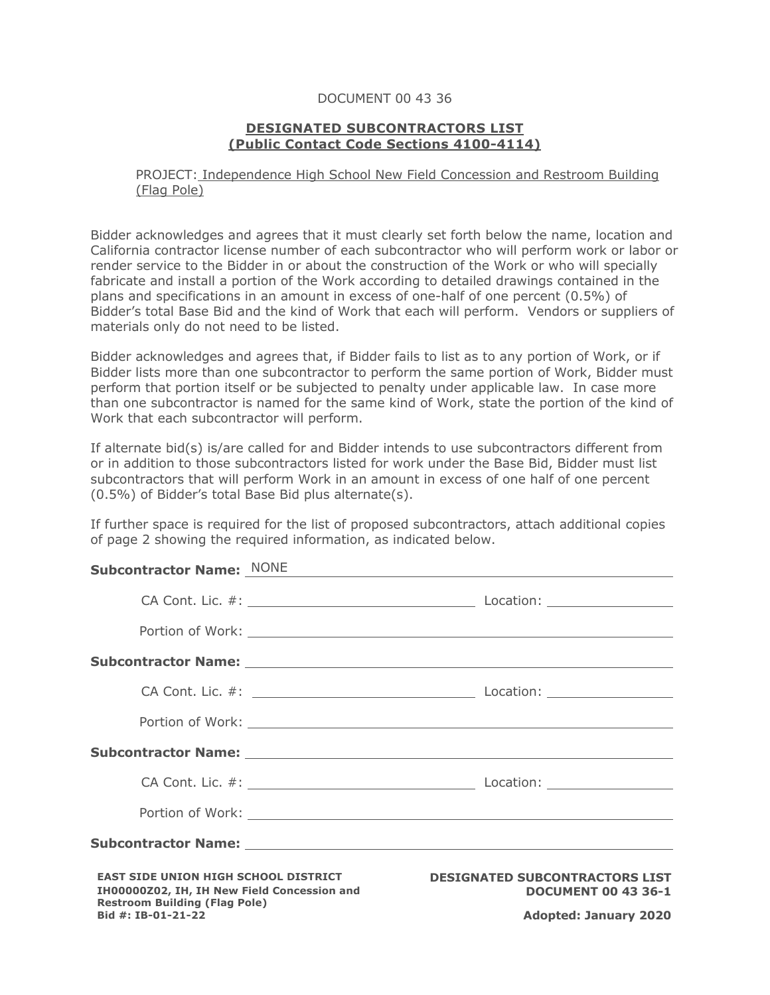## DOCUMENT 00 43 36

## **DESIGNATED SUBCONTRACTORS LIST (Public Contact Code Sections 4100-4114)**

## PROJECT: Independence High School New Field Concession and Restroom Building (Flag Pole)

Bidder acknowledges and agrees that it must clearly set forth below the name, location and California contractor license number of each subcontractor who will perform work or labor or render service to the Bidder in or about the construction of the Work or who will specially fabricate and install a portion of the Work according to detailed drawings contained in the plans and specifications in an amount in excess of one-half of one percent (0.5%) of Bidder's total Base Bid and the kind of Work that each will perform. Vendors or suppliers of materials only do not need to be listed.

Bidder acknowledges and agrees that, if Bidder fails to list as to any portion of Work, or if Bidder lists more than one subcontractor to perform the same portion of Work, Bidder must perform that portion itself or be subjected to penalty under applicable law. In case more than one subcontractor is named for the same kind of Work, state the portion of the kind of Work that each subcontractor will perform.

If alternate bid(s) is/are called for and Bidder intends to use subcontractors different from or in addition to those subcontractors listed for work under the Base Bid, Bidder must list subcontractors that will perform Work in an amount in excess of one half of one percent (0.5%) of Bidder's total Base Bid plus alternate(s).

If further space is required for the list of proposed subcontractors, attach additional copies of page 2 showing the required information, as indicated below.

## **Subcontractor Name:** NONE

|                                                                                            |  | Subcontractor Name: Name and Subcontractor Name and Subcontractor Name and Subcontractor Name and Subcontractor |
|--------------------------------------------------------------------------------------------|--|-----------------------------------------------------------------------------------------------------------------|
|                                                                                            |  |                                                                                                                 |
|                                                                                            |  |                                                                                                                 |
|                                                                                            |  | Subcontractor Name: Name and Subsequent Assembly and Subsequent Assembly and Subsequent Assembly and Subsequent |
|                                                                                            |  |                                                                                                                 |
|                                                                                            |  |                                                                                                                 |
|                                                                                            |  | Subcontractor Name: Name: Name: Name: Name: Name: Name: Name: Name: Name: Name: Name: Name: Name: Name: Name: N |
| <b>EAST SIDE UNION HIGH SCHOOL DISTRICT</b><br>IH00000Z02, IH, IH New Field Concession and |  | <b>DESIGNATED SUBCONTRACTORS LIST</b><br><b>DOCUMENT 00 43 36-1</b>                                             |
| <b>Restroom Building (Flag Pole)</b><br>Bid #: IB-01-21-22                                 |  | <b>Adopted: January 2020</b>                                                                                    |